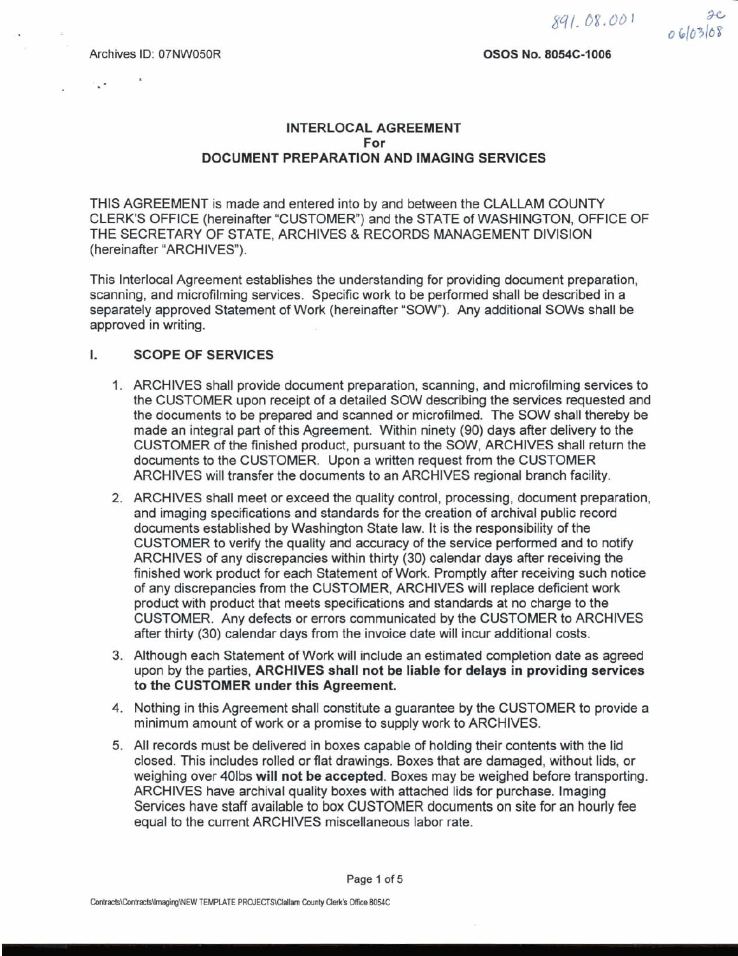.

### **OSOS NO. 8054C-1006**

## **INTERLOCAL AGREEMENT For DOCUMENT PREPARATION AND IMAGING SERVICES**

THIS AGREEMENT is made and entered into by and between the CLALLAM COUNTY CLERK'S OFFICE (hereinafter "CUSTOMER") and the STATE of WASHINGTON, OFFICE OF THE SECRETARY OF STATE, ARCHIVES & RECORDS MANAGEMENT DIVISION (hereinafter "ARCHIVES).

This Interlocal Agreement establishes the understanding for providing document preparation, scanning, and microfilming services. Specific work to be performed shall be described in a separately approved Statement of Work (hereinafter "SOW"). Any additional SOWs shall be approved in writing.

#### L. **SCOPE OF SERVICES**

- 1. ARCHIVES shall provide document preparation, scanning, and microfilming services to the CUSTOMER upon receipt of a detailed SOW describing the services requested and the documents to be prepared and scanned or microfilmed. The SOW shall thereby be made an integral part of this Agreement. Within ninety (90) days after delivery to the CUSTOMER of the finished product, pursuant to the SOW, ARCHIVES shall return the documents to the CUSTOMER. Upon a written request from the CUSTOMER ARCHIVES will transfer the documents to an ARCHIVES regional branch facility.
- 2. ARCHIVES shall meet or exceed the quality control, processing, document preparation, and imaging specifications and standards for the creation of archival public record documents established by Washington State law. It is the responsibility of the CUSTOMER to verify the quality and accuracy of the service performed and to notify ARCHIVES of any discrepancies within thirty (30) calendar days after receiving the finished work product for each Statement of Work. Promptly after receiving such notice of any discrepancies from the CUSTOMER, ARCHIVES will replace deficient work product with product that meets specifications and standards at no charge to the CUSTOMER. Any defects or errors communicated by the CUSTOMER to ARCHIVES after thirty (30) calendar days from the invoice date will incur additional costs.
- 3. Although each Statement of Work will include an estimated completion date as agreed upon by the parties, **ARCHIVES shall not be liable for delays in providing services to the CUSTOMER under this Agreement.**
- 4. Nothing in this Agreement shall constitute a guarantee by the CUSTOMER to provide a minimum amount of work or a promise to supply work to ARCHIVES.
- 5. All records must be delivered in boxes capable of holding their contents with the lid closed. This includes rolled or flat drawings. Boxes that are damaged, without lids, or weighing over 401bs **will not be accepted.** Boxes may be weighed before transporting. ARCHIVES have archival quality boxes with attached lids for purchase. Imaging Services have staff available to box CUSTOMER documents on site for an hourly fee equal to the current ARCHIVES miscellaneous labor rate.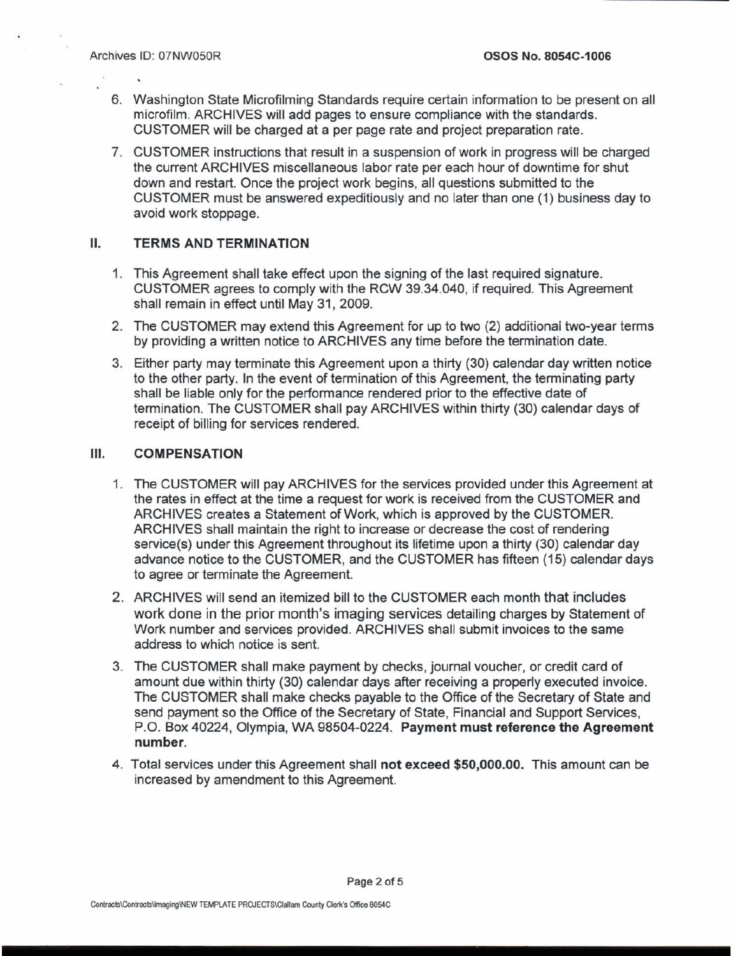- 6. Washington State Microfilming Standards require certain information to be present on all microfilm. ARCHIVES will add pages to ensure compliance with the standards. CUSTOMER will be charged at a per page rate and project preparation rate.
- 7. CUSTOMER instructions that result in a suspension of work in progress will be charged the current ARCHIVES miscellaneous labor rate per each hour of downtime for shut down and restart. Once the project work begins, all questions submitted to the CUSTOMER must be answered expeditiously and no later than one (1) business day to avoid work stoppage.

## II. TERMS AND TERMINATION

- 1. This Agreement shall take effect upon the signing of the last required signature. CUSTOMER agrees to comply with the RCW 39.34.040, if required. This Agreement shall remain in effect until May 31, 2009.
- 2. The CUSTOMER may extend this Agreement for up to two (2) additionai two-year terms by providing a written notice to ARCHIVES any time before the termination date.
- 3. Either party may terminate this Agreement upon a thirty (30) calendar day written notice to the other party. In the event of termination of this Agreement, the terminating party shall be liable only for the performance rendered prior to the effective date of termination. The CUSTOMER shall pay ARCHIVES within thirty (30) calendar days of receipt of billing for services rendered.

#### Ш. COMPENSATION

- 1. The CUSTOMER will pay ARCHIVES for the services provided under this Agreement at the rates in effect at the time a request for work is received from the CUSTOMER and ARCHIVES creates a Statement of Work, which is approved by the CUSTOMER. ARCHIVES shall maintain the right to increase or decrease the cost of rendering service(s) under this Agreement throughout its lifetime upon a thirty (30) calendar day advance notice to the CUSTOMER, and the CUSTOMER has fifteen (15) calendar days to agree or terminate the Agreement.
- 2. ARCHIVES will send an itemized bill to the CUSTOMER each month that includes work done in the prior month's imaging services detailing charges by Statement of Work number and services provided. ARCHIVES shall submit invoices to the same address to which notice is sent.
- 3. The CUSTOMER shall make payment by checks, journal voucher, or credit card of amount due within thirty (30) calendar days after receiving a properly executed invoice. The CUSTOMER shall make checks payable to the Office of the Secretary of State and send payment so the Office of the Secretary of State, Financial and Support Services, P.O. Box 40224, Olympia, WA 98504-0224. Payment must reference the Agreement number.
- 4. Total services under this Agreement shall not exceed \$50,000.00. This amount can be increased by amendment to this Agreement.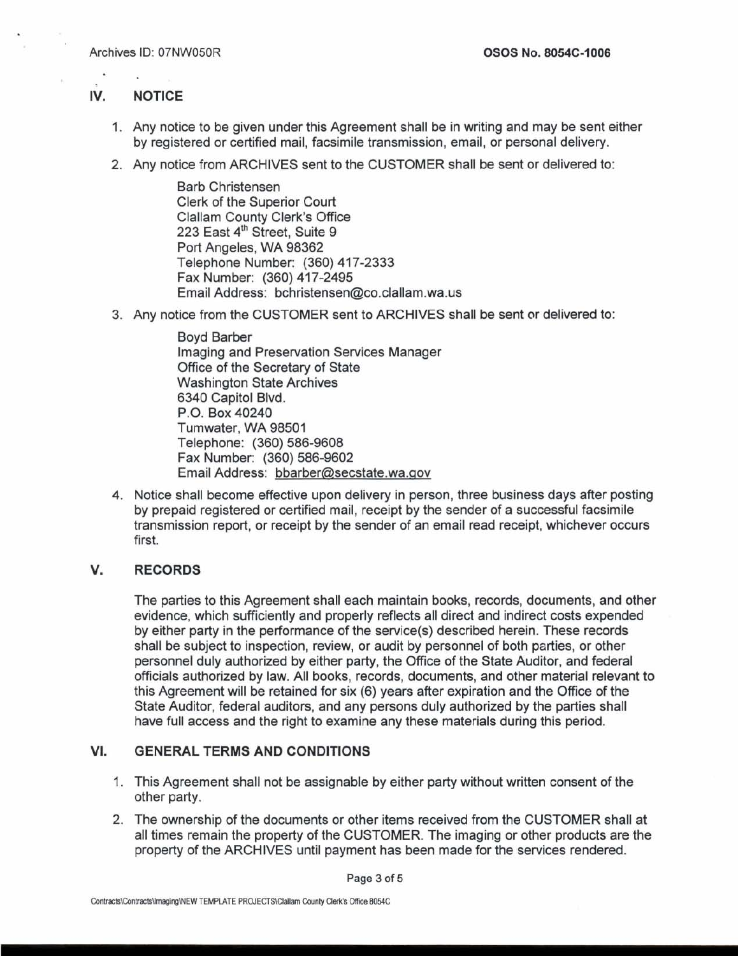### **IV. NOTICE**

- 1. Any notice to be given under this Agreement shall be in writing and may be sent either by registered or certified mail, facsimile transmission, email, or personal delivery.
- 2. Any notice from ARCHIVES sent to the CUSTOMER shall be sent or delivered to:

Barb Christensen Clerk of the Superior Court Clallam County Clerk's Office 223 East 4'h Street, Suite 9 Port Angeles, WA 98362 Telephone Number: (360) 417-2333 Fax Number: (360) 417-2495 Email Address: bchristensen@co.clallam.wa.us

3. Any notice from the CUSTOMER sent to ARCHIVES shall be sent or delivered to:

Boyd Barber Imaging and Preservation Services Manager Office of the Secretary of State Washington State Archives 6340 Capitol Blvd. P.O. Box 40240 Turnwater, WA 98501 Telephone: (360) 586-9608 Fax Number: (360) 586-9602 Email Address: bbarber@secstate.wa.gov

4. Notice shall become effective upon delivery in person, three business days after posting by prepaid registered or certified mail, receipt by the sender of a successful facsimile transmission report, or receipt by the sender of an email read receipt, whichever occurs first.

#### V. **RECORDS**

The parties to this Agreement shall each maintain books, records, documents, and other evidence, which sufficiently and properly reflects all direct and indirect costs expended by either party in the performance of the service(s) described herein. These records shall be subject to inspection, review, or audit by personnel of both parties, or other personnel duly authorized by either party, the Office of the State Auditor, and federal officials authorized by law. All books, records, documents, and other material relevant to this Agreement will be retained for six (6) years after expiration and the Office of the State Auditor, federal auditors, and any persons duly authorized by the parties shall have full access and the right to examine any these materials during this period.

#### **VI. GENERAL TERMS AND CONDITIONS**

- 1. This Agreement shall not be assignable by either party without written consent of the other party.
- 2. The ownership of the documents or other items received from the CUSTOMER shall at all times remain the property of the CUSTOMER. The imaging or other products are the property of the ARCHIVES until payment has been made for the services rendered.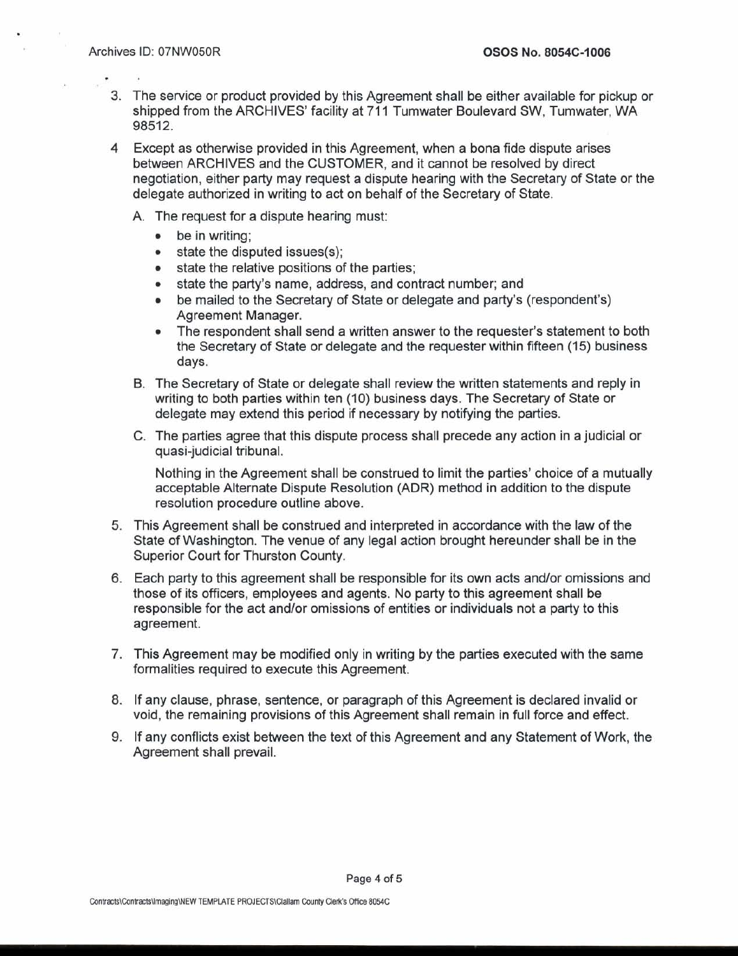- 3. The service or product provided by this Agreement shall be either available for pickup or shipped from the ARCHIVES' facility at 711 Tumwater Boulevard SW, Tumwater, WA 98512.
- **4** Except as otherwise provided in this Agreement, when a bona fide dispute arises between ARCHIVES and the CUSTOMER, and it cannot be resolved by direct negotiation, either party may request a dispute hearing with the Secretary of State or the delegate authorized in writing to act on behalf of the Secretary of State.
	- A. The request for a dispute hearing must:
		- be in writing;
		- state the disputed issues(s);
		- state the relative positions of the parties;
		- state the party's name, address, and contract number; and  $\bullet$
		- be mailed to the Secretary of State or delegate and party's (respondent's)  $\bullet$ Agreement Manager.
		- The respondent shall send a written answer to the requester's statement to both  $\bullet$ the Secretary of State or delegate and the requester within fifteen (15) business days.
	- B. The Secretary of State or delegate shall review the written statements and reply in writing to both parties within ten (10) business days. The Secretary of State or delegate may extend this period if necessary by notifying the parties.
	- C. The parties agree that this dispute process shall precede any action in a judicial or quasi-judicial tribunal.

Nothing in the Agreement shall be construed to limit the parties' choice of a mutually acceptable Alternate Dispute Resolution (ADR) method in addition to the dispute resolution procedure outline above.

- **5.** This Agreement shall be construed and interpreted in accordance with the law of the State of Washington. The venue of any legal action brought hereunder shall be in the Superior Court for Thurston County.
- **6.** Each party to this agreement shall be responsible for its own acts andlor omissions and those of its officers, employees and agents. No party to this agreement shall be responsible for the act and/or omissions of entities or individuals not a party to this agreement.
- 7. This Agreement may be modified only in writing by the parties executed with the same formalities required to execute this Agreement.
- 8. If any clause, phrase, sentence, or paragraph of this Agreement is declared invalid or void, the remaining provisions of this Agreement shall remain in full force and effect.
- 9. If any conflicts exist between the text of this Agreement and any Statement of Work, the Agreement shall prevail.